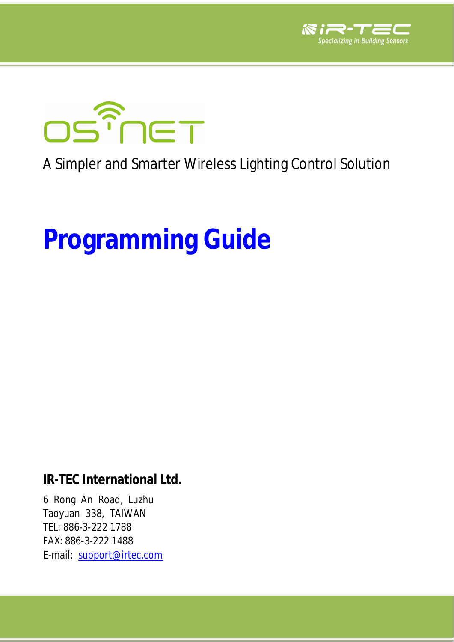



## A Simpler and Smarter Wireless Lighting Control Solution

# **Programming Guide**

**IR-TEC International Ltd.**

6 Rong An Road, Luzhu Taoyuan 338, TAIWAN TEL: 886-3-222 1788 FAX: 886-3-222 1488 E-mail: [support@irtec.com](mailto:support@irtec.com)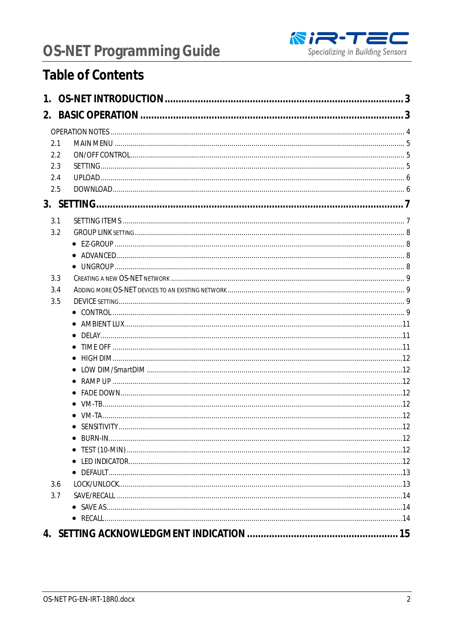

### **Table of Contents**

| 2.1 |  |
|-----|--|
| 2.2 |  |
| 2.3 |  |
| 2.4 |  |
| 2.5 |  |
|     |  |
| 3.1 |  |
| 3.2 |  |
|     |  |
|     |  |
|     |  |
| 3.3 |  |
| 3.4 |  |
| 3.5 |  |
|     |  |
|     |  |
|     |  |
|     |  |
|     |  |
|     |  |
|     |  |
|     |  |
|     |  |
|     |  |
|     |  |
|     |  |
|     |  |
|     |  |
|     |  |
| 3.6 |  |
| 3.7 |  |
|     |  |
|     |  |
|     |  |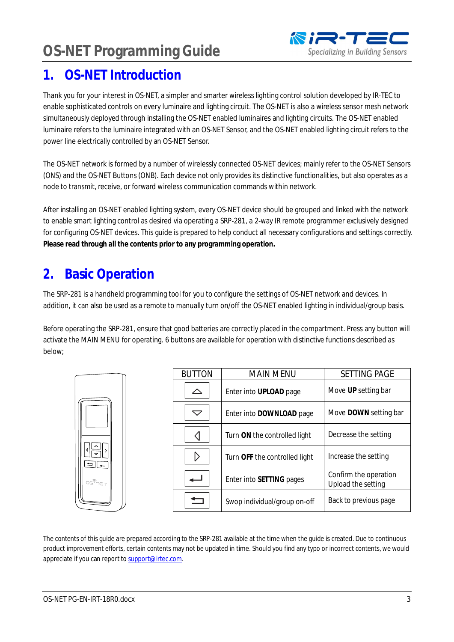### <span id="page-2-0"></span>**1. OS-NET Introduction**

Thank you for your interest in OS-NET, a simpler and smarter wireless lighting control solution developed by IR-TEC to enable sophisticated controls on every luminaire and lighting circuit. The OS-NET is also a wireless sensor mesh network simultaneously deployed through installing the OS-NET enabled luminaires and lighting circuits. The OS-NET enabled luminaire refers to the luminaire integrated with an OS-NET Sensor, and the OS-NET enabled lighting circuit refers to the power line electrically controlled by an OS-NET Sensor.

The OS-NET network is formed by a number of wirelessly connected OS-NET devices; mainly refer to the OS-NET Sensors (ONS) and the OS-NET Buttons (ONB). Each device not only provides its distinctive functionalities, but also operates as a node to transmit, receive, or forward wireless communication commands within network.

After installing an OS-NET enabled lighting system, every OS-NET device should be grouped and linked with the network to enable smart lighting control as desired via operating a SRP-281, a 2-way IR remote programmer exclusively designed for configuring OS-NET devices. This guide is prepared to help conduct all necessary configurations and settings correctly. **Please read through all the contents prior to any programming operation.**

### <span id="page-2-1"></span>**2. Basic Operation**

The SRP-281 is a handheld programming tool for you to configure the settings of OS-NET network and devices. In addition, it can also be used as a remote to manually turn on/off the OS-NET enabled lighting in individual/group basis.

Before operating the SRP-281, ensure that good batteries are correctly placed in the compartment. Press any button will activate the MAIN MENU for operating. 6 buttons are available for operation with distinctive functions described as below;

|                                                     | <b>BUTTON</b> | <b>MAIN MENU</b>              | <b>SETTING PAGE</b>                         |
|-----------------------------------------------------|---------------|-------------------------------|---------------------------------------------|
|                                                     | ╱             | Enter into UPLOAD page        | Move UP setting bar                         |
|                                                     | ▽             | Enter into DOWNLOAD page      | Move DOWN setting bar                       |
|                                                     |               | Turn ON the controlled light  | Decrease the setting                        |
| $=$ $\vert \vert$ $\vert$                           |               | Turn OFF the controlled light | Increase the setting                        |
| $\text{DS}^{\text{max}} \cap \text{S}^{\text{max}}$ |               | Enter into SETTING pages      | Confirm the operation<br>Upload the setting |
|                                                     |               | Swop individual/group on-off  | Back to previous page                       |

The contents of this guide are prepared according to the SRP-281 available at the time when the guide is created. Due to continuous product improvement efforts, certain contents may not be updated in time. Should you find any typo or incorrect contents, we would appreciate if you can report to [support@irtec.com](mailto:support@irtec.com).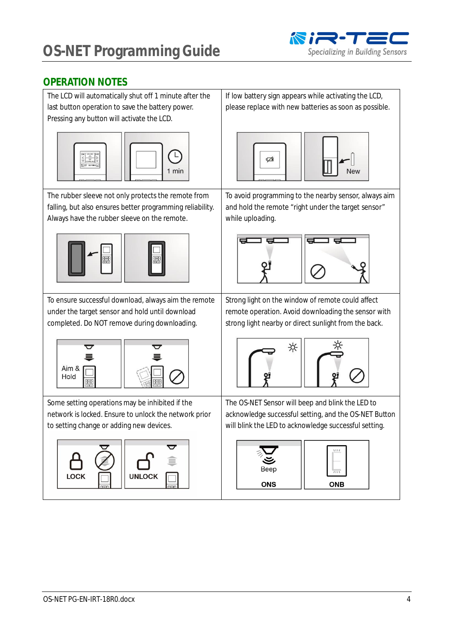

#### <span id="page-3-0"></span>**OPERATION NOTES**

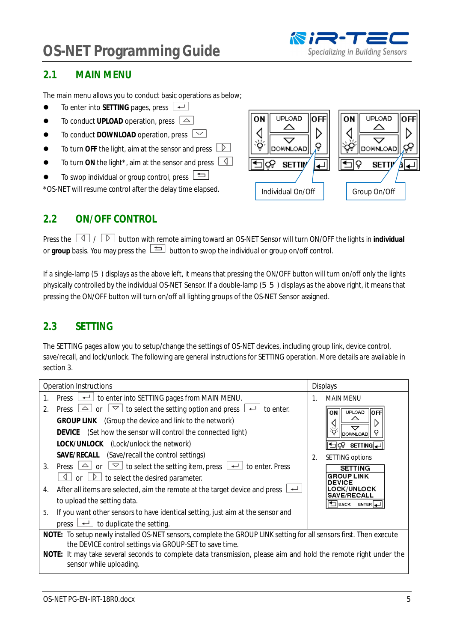#### <span id="page-4-0"></span>**2.1 MAIN MENU**

The main menu allows you to conduct basic operations as below;

- $\bullet$  To enter into SETTING pages, press  $\overline{\bullet}$
- $\bullet$  To conduct UPLOAD operation, press  $\boxed{\triangle}$
- $\bullet$  To conduct DOWNLOAD operation, press  $\boxed{\smile}$
- $\bullet$  To turn OFF the light, aim at the sensor and press  $\Box$
- $\bullet$  To turn ON the light<sup>\*</sup>, aim at the sensor and press  $\boxed{4}$
- $\bullet$  To swop individual or group control, press  $\Box$

\*OS-NET will resume control after the delay time elapsed.



#### <span id="page-4-1"></span>**2.2 ON/OFF CONTROL**

Press the  $\Box$  /  $\Box$  button with remote aiming toward an OS-NET Sensor will turn ON/OFF the lights in individual or group basis. You may press the **button to swop the individual or group on/off control.** 

If a single-lamp (5) displays as the above left, it means that pressing the ON/OFF button will turn on/off only the lights physically controlled by the individual OS-NET Sensor. If a double-lamp (55) displays as the above right, it means that pressing the ON/OFF button will turn on/off all lighting groups of the OS-NET Sensor assigned.

#### <span id="page-4-2"></span>**2.3 SETTING**

The SETTING pages allow you to setup/change the settings of OS-NET devices, including group link, device control, save/recall, and lock/unlock. The following are general instructions for SETTING operation. More details are available in section 3.

|                | Operation Instructions                                                                                                                                                                                                                                                                                                                                                                                                                                                                                                                                                                                                          |    | <b>Displays</b>                                                                                                                                                                                 |  |  |  |
|----------------|---------------------------------------------------------------------------------------------------------------------------------------------------------------------------------------------------------------------------------------------------------------------------------------------------------------------------------------------------------------------------------------------------------------------------------------------------------------------------------------------------------------------------------------------------------------------------------------------------------------------------------|----|-------------------------------------------------------------------------------------------------------------------------------------------------------------------------------------------------|--|--|--|
|                | to enter into SETTING pages from MAIN MENU.<br>Press<br>$\overline{\phantom{a}}$                                                                                                                                                                                                                                                                                                                                                                                                                                                                                                                                                |    | <b>MAIN MENU</b>                                                                                                                                                                                |  |  |  |
| 2.<br>3.<br>4. | Press $\boxed{\triangle}$ or<br>$\vert \triangledown \vert$<br>to select the setting option and press<br>to enter.<br>GROUP LINK (Group the device and link to the network)<br>DEVICE (Set how the sensor will control the connected light)<br>LOCK/UNLOCK (Lock/unlock the network)<br>SAVE/RECALL<br>(Save/recall the control settings)<br>$\boxed{\simeq}$ to select the setting item, press $\boxed{\phantom{0}}$<br>Press $\boxed{\triangle}$ or<br>to enter. Press<br>$\triangleright$<br>to select the desired parameter.<br>$\lhd$<br>or<br>After all items are selected, aim the remote at the target device and press | 2. | <b>UPLOAD</b><br>ON I<br><b>HOFF</b><br>٠ŏ<br><b>DOWNLOAD</b><br>SETTING<br><b>SETTING options</b><br><b>SETTING</b><br><b>GROUP LINK</b><br><b>DEVICE</b><br>LOCK/UNLOCK<br><b>SAVE/RECALL</b> |  |  |  |
|                | to upload the setting data.                                                                                                                                                                                                                                                                                                                                                                                                                                                                                                                                                                                                     |    | <b>BACK</b><br><b>ENTER</b>                                                                                                                                                                     |  |  |  |
| 5.             | If you want other sensors to have identical setting, just aim at the sensor and<br>to duplicate the setting.<br>press                                                                                                                                                                                                                                                                                                                                                                                                                                                                                                           |    |                                                                                                                                                                                                 |  |  |  |
|                | NOTE: To setup newly installed OS-NET sensors, complete the GROUP LINK setting for all sensors first. Then execute<br>the DEVICE control settings via GROUP-SET to save time.<br>NOTE: It may take several seconds to complete data transmission, please aim and hold the remote right under the<br>sensor while uploading.                                                                                                                                                                                                                                                                                                     |    |                                                                                                                                                                                                 |  |  |  |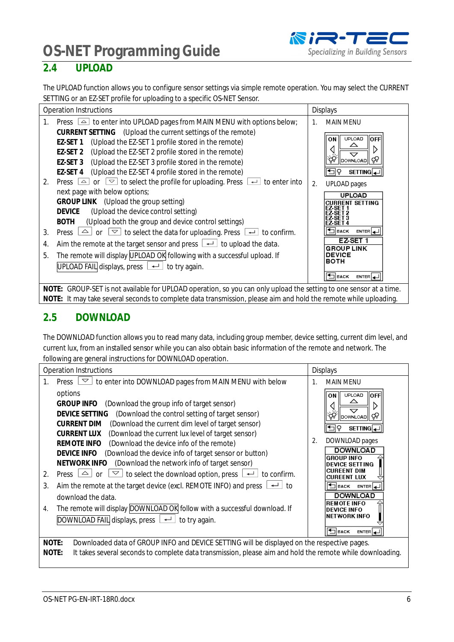**OS-NET Programming Guide**<br>2.4 **UPLOAD** 



### <span id="page-5-0"></span>**2.4 UPLOAD**

The UPLOAD function allows you to configure sensor settings via simple remote operation. You may select the CURRENT SETTING or an EZ-SET profile for uploading to a specific OS-NET Sensor.

| <b>Operation Instructions</b>                                                                                                                                                                                                                                                                                                                                                                                                                                                     | <b>Displays</b>                                                                               |  |  |  |  |  |
|-----------------------------------------------------------------------------------------------------------------------------------------------------------------------------------------------------------------------------------------------------------------------------------------------------------------------------------------------------------------------------------------------------------------------------------------------------------------------------------|-----------------------------------------------------------------------------------------------|--|--|--|--|--|
| Press $\triangle$ to enter into UPLOAD pages from MAIN MENU with options below;<br>$\mathbf{1}$ .                                                                                                                                                                                                                                                                                                                                                                                 | <b>MAIN MENU</b><br>$\mathbf{1}$ .                                                            |  |  |  |  |  |
| CURRENT SETTING (Upload the current settings of the remote)<br>(Upload the EZ-SET 1 profile stored in the remote)<br>EZ-SET 1<br>(Upload the EZ-SET 2 profile stored in the remote)<br>EZ-SET 2<br>EZ-SET 3 (Upload the EZ-SET 3 profile stored in the remote)<br>(Upload the EZ-SET 4 profile stored in the remote)<br>EZ-SET 4<br>Press $\boxed{\triangle}$ or $\boxed{\triangleright}$ to select the profile for uploading. Press $\boxed{\dashleftarrow}$ to enter into<br>2. | <b>UPLOAD</b><br><b>OFFI</b><br>ON<br>▽<br>DOWNLOAD<br>SETTING 4<br>2.<br><b>UPLOAD</b> pages |  |  |  |  |  |
| next page with below options;<br>GROUP LINK (Upload the group setting)<br>(Upload the device control setting)<br><b>DEVICE</b><br>(Upload both the group and device control settings)<br><b>BOTH</b><br>Press $\boxed{\triangle}$ or<br>$\boxed{\simeq}$ to select the data for uploading. Press $\boxed{\leftarrow}$ to confirm.<br>3.                                                                                                                                           | <b>UPLOAD</b><br><b>RRENT SETTING</b><br>$ENTER$ <sup>1</sup><br><b>BACK</b>                  |  |  |  |  |  |
| Aim the remote at the target sensor and press $\lfloor \frac{d}{2} \rfloor$ to upload the data.<br>4.                                                                                                                                                                                                                                                                                                                                                                             | EZ-SET 1<br><b>GROUP LINK</b>                                                                 |  |  |  |  |  |
| The remote will display UPLOAD OK following with a successful upload. If<br>5.<br>UPLOAD FAIL displays, press $\boxed{\leftarrow}$ to try again.                                                                                                                                                                                                                                                                                                                                  | <b>DEVICE</b><br><b>BOTH</b><br><b>H</b> BACK<br>$ENTER$ $\Box$                               |  |  |  |  |  |
| NOTE: GROUP-SET is not available for UPLOAD operation, so you can only upload the setting to one sensor at a time.<br>NOTE: It may take several seconds to complete data transmission, please aim and hold the remote while uploading.                                                                                                                                                                                                                                            |                                                                                               |  |  |  |  |  |

#### <span id="page-5-1"></span>**2.5 DOWNLOAD**

The DOWNLOAD function allows you to read many data, including group member, device setting, current dim level, and current lux, from an installed sensor while you can also obtain basic information of the remote and network. The following are general instructions for DOWNLOAD operation.

|                                                                                                                                                                                                                            | <b>Operation Instructions</b>                                                                                                                                                                                                                                                                                                                                                                                                                                                                                                                                                                                                                                                                                   | <b>Displays</b> |                                                                                                                                                                                                           |  |
|----------------------------------------------------------------------------------------------------------------------------------------------------------------------------------------------------------------------------|-----------------------------------------------------------------------------------------------------------------------------------------------------------------------------------------------------------------------------------------------------------------------------------------------------------------------------------------------------------------------------------------------------------------------------------------------------------------------------------------------------------------------------------------------------------------------------------------------------------------------------------------------------------------------------------------------------------------|-----------------|-----------------------------------------------------------------------------------------------------------------------------------------------------------------------------------------------------------|--|
| 1.                                                                                                                                                                                                                         | $\triangledown$<br>to enter into DOWNLOAD pages from MAIN MENU with below<br>Press                                                                                                                                                                                                                                                                                                                                                                                                                                                                                                                                                                                                                              | 1.              | <b>MAIN MENU</b>                                                                                                                                                                                          |  |
| $\overline{2}$ .<br>3.                                                                                                                                                                                                     | options<br><b>GROUP INFO</b><br>(Download the group info of target sensor)<br>DEVICE SETTING<br>(Download the control setting of target sensor)<br><b>CURRENT DIM</b><br>(Download the current dim level of target sensor)<br><b>CURRENT LUX</b><br>(Download the current lux level of target sensor)<br>REMOTE INFO<br>(Download the device info of the remote)<br>DEVICE INFO<br>(Download the device info of target sensor or button)<br>NETWORK INFO<br>(Download the network info of target sensor)<br>$\triangledown$<br>to select the download option, press $\boxed{\leftarrow}$ to confirm.<br>$\triangle$<br>Press  <br>or<br>Aim the remote at the target device (excl. REMOTE INFO) and press<br>to | 2.              | <b>UPLOAD</b><br><b>OFFI</b><br>OΝ<br><b>DOWNLOAD</b><br>Ğ<br>SETTING<br>DOWNLOAD pages<br><b>DOWNLOAD</b><br><b>GROUP INFO</b><br>DEVICE SETTING<br>CHREENT DIM<br>CUREENT LUX<br>ENTER J<br><b>BACK</b> |  |
|                                                                                                                                                                                                                            | download the data.                                                                                                                                                                                                                                                                                                                                                                                                                                                                                                                                                                                                                                                                                              |                 | DOWNLOAD                                                                                                                                                                                                  |  |
| 4.                                                                                                                                                                                                                         | The remote will display DOWNLOAD OK follow with a successful download. If<br>DOWNLOAD FAIL displays, press $\Box$ to try again.                                                                                                                                                                                                                                                                                                                                                                                                                                                                                                                                                                                 |                 | <b>REMOTE INFO</b><br><b>DEVICE INFO</b><br>NETWORK INFO<br><b>TIBACK</b><br>ENTER 4                                                                                                                      |  |
| NOTE:<br>Downloaded data of GROUP INFO and DEVICE SETTING will be displayed on the respective pages.<br>It takes several seconds to complete data transmission, please aim and hold the remote while downloading.<br>NOTE: |                                                                                                                                                                                                                                                                                                                                                                                                                                                                                                                                                                                                                                                                                                                 |                 |                                                                                                                                                                                                           |  |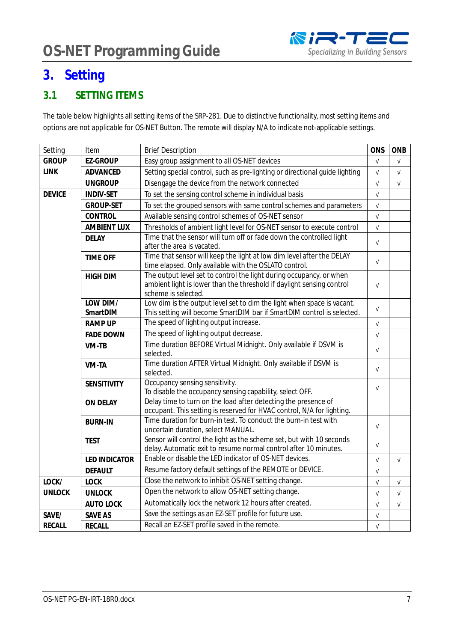### <span id="page-6-0"></span>**3. Setting**

#### <span id="page-6-1"></span>**3.1 SETTING ITEMS**

The table below highlights all setting items of the SRP-281. Due to distinctive functionality, most setting items and options are not applicable for OS-NET Button. The remote will display N/A to indicate not-applicable settings.

| Setting                                                                         | Item                                                                                 | ONS<br><b>Brief Description</b>                                                                                                              |                           |            |  |  |
|---------------------------------------------------------------------------------|--------------------------------------------------------------------------------------|----------------------------------------------------------------------------------------------------------------------------------------------|---------------------------|------------|--|--|
| <b>GROUP</b>                                                                    | <b>EZ-GROUP</b>                                                                      | Easy group assignment to all OS-NET devices                                                                                                  | $\ensuremath{\mathsf{V}}$ | $\sqrt{ }$ |  |  |
| <b>LINK</b>                                                                     | ADVANCED                                                                             | Setting special control, such as pre-lighting or directional guide lighting                                                                  | $\sqrt{ }$                | $\sqrt{ }$ |  |  |
|                                                                                 | <b>UNGROUP</b>                                                                       | Disengage the device from the network connected                                                                                              | $\sqrt{ }$                | $\sqrt{ }$ |  |  |
| <b>DEVICE</b>                                                                   | <b>INDIV-SET</b>                                                                     | To set the sensing control scheme in individual basis                                                                                        | $\sqrt{ }$                |            |  |  |
|                                                                                 | <b>GROUP-SET</b>                                                                     | To set the grouped sensors with same control schemes and parameters                                                                          | $\sqrt{ }$                |            |  |  |
|                                                                                 | <b>CONTROL</b>                                                                       | Available sensing control schemes of OS-NET sensor                                                                                           | $\sqrt{}$                 |            |  |  |
|                                                                                 | <b>AMBIENT LUX</b>                                                                   | Thresholds of ambient light level for OS-NET sensor to execute control                                                                       | $\sqrt{ }$                |            |  |  |
|                                                                                 | Time that the sensor will turn off or fade down the controlled light<br><b>DELAY</b> |                                                                                                                                              | $\sqrt{ }$                |            |  |  |
|                                                                                 |                                                                                      | after the area is vacated.                                                                                                                   |                           |            |  |  |
|                                                                                 | <b>TIME OFF</b>                                                                      | Time that sensor will keep the light at low dim level after the DELAY                                                                        | $\sqrt{ }$                |            |  |  |
|                                                                                 |                                                                                      | time elapsed. Only available with the OSLATO control.                                                                                        |                           |            |  |  |
|                                                                                 | <b>HIGH DIM</b>                                                                      | The output level set to control the light during occupancy, or when<br>ambient light is lower than the threshold if daylight sensing control | $\sqrt{ }$                |            |  |  |
|                                                                                 |                                                                                      | scheme is selected.                                                                                                                          |                           |            |  |  |
|                                                                                 | LOW DIM/                                                                             | Low dim is the output level set to dim the light when space is vacant.                                                                       | $\sqrt{ }$                |            |  |  |
|                                                                                 | SmartDIM                                                                             | This setting will become SmartDIM bar if SmartDIM control is selected.                                                                       |                           |            |  |  |
|                                                                                 | <b>RAMP UP</b>                                                                       | The speed of lighting output increase.                                                                                                       |                           |            |  |  |
|                                                                                 | <b>FADE DOWN</b>                                                                     | The speed of lighting output decrease.                                                                                                       | $\sqrt{ }$                |            |  |  |
|                                                                                 | VM-TB                                                                                | Time duration BEFORE Virtual Midnight. Only available if DSVM is                                                                             |                           |            |  |  |
|                                                                                 |                                                                                      | selected.                                                                                                                                    | $\sqrt{ }$                |            |  |  |
|                                                                                 | VM-TA                                                                                | Time duration AFTER Virtual Midnight. Only available if DSVM is                                                                              | $\sqrt{ }$                |            |  |  |
|                                                                                 |                                                                                      | selected.<br>Occupancy sensing sensitivity.                                                                                                  |                           |            |  |  |
|                                                                                 | <b>SENSITIVITY</b>                                                                   | To disable the occupancy sensing capability, select OFF.                                                                                     | $\sqrt{ }$                |            |  |  |
|                                                                                 | ON DELAY                                                                             | Delay time to turn on the load after detecting the presence of                                                                               |                           |            |  |  |
|                                                                                 |                                                                                      | occupant. This setting is reserved for HVAC control, N/A for lighting.                                                                       |                           |            |  |  |
|                                                                                 | <b>BURN-IN</b>                                                                       | Time duration for burn-in test. To conduct the burn-in test with                                                                             |                           |            |  |  |
|                                                                                 |                                                                                      | uncertain duration, select MANUAL.                                                                                                           | $\sqrt{ }$                |            |  |  |
|                                                                                 | <b>TEST</b>                                                                          | Sensor will control the light as the scheme set, but with 10 seconds                                                                         | $\sqrt{ }$                |            |  |  |
|                                                                                 |                                                                                      | delay. Automatic exit to resume normal control after 10 minutes.                                                                             |                           |            |  |  |
|                                                                                 | LED INDICATOR                                                                        | Enable or disable the LED indicator of OS-NET devices.                                                                                       | $\ensuremath{\mathsf{V}}$ | $\sqrt{ }$ |  |  |
|                                                                                 | <b>DEFAULT</b>                                                                       | Resume factory default settings of the REMOTE or DEVICE.                                                                                     | $\sqrt{ }$                |            |  |  |
| LOCK/                                                                           | <b>LOCK</b>                                                                          | Close the network to inhibit OS-NET setting change.                                                                                          | $\sqrt{ }$                | $\sqrt{ }$ |  |  |
| <b>UNLOCK</b>                                                                   | <b>UNLOCK</b>                                                                        | Open the network to allow OS-NET setting change.                                                                                             |                           | $\sqrt{ }$ |  |  |
|                                                                                 | <b>AUTO LOCK</b>                                                                     | Automatically lock the network 12 hours after created.                                                                                       | $\sqrt{ }$                | $\sqrt{ }$ |  |  |
| Save the settings as an EZ-SET profile for future use.<br>SAVE AS<br>SAVE/      |                                                                                      | $\sqrt{ }$                                                                                                                                   |                           |            |  |  |
| Recall an EZ-SET profile saved in the remote.<br><b>RECALL</b><br><b>RECALL</b> |                                                                                      |                                                                                                                                              |                           |            |  |  |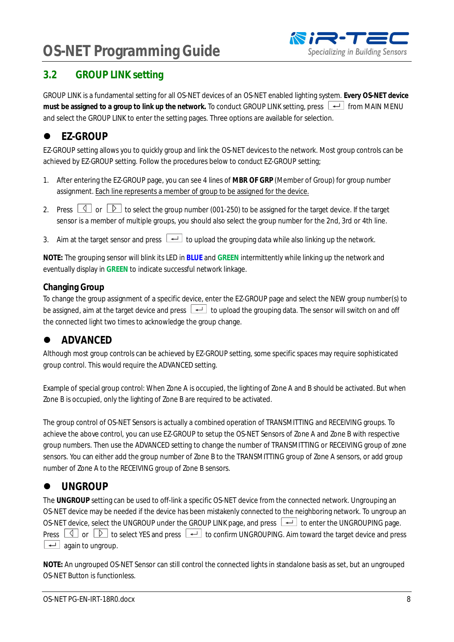#### <span id="page-7-0"></span>**3.2 GROUP LINK setting**

GROUP LINK is a fundamental setting for all OS-NET devices of an OS-NET enabled lighting system. **Every OS-NET device** must be assigned to a group to link up the network. To conduct GROUP LINK setting, press  $\rightarrow$  from MAIN MENU and select the GROUP LINK to enter the setting pages. Three options are available for selection.

### <span id="page-7-1"></span>● **EZ-GROUP**

EZ-GROUP setting allows you to quickly group and link the OS-NET devicesto the network. Most group controls can be achieved by EZ-GROUP setting. Follow the procedures below to conduct EZ-GROUP setting;

- 1. After entering the EZ-GROUP page, you can see 4 lines of **MBR OF GRP** (Member of Group) for group number assignment. Each line represents a member of group to be assigned for the device.
- 2. Press  $\boxed{\triangle}$  or  $\boxed{\triangleright}$  to select the group number (001-250) to be assigned for the target device. If the target sensor is a member of multiple groups, you should also select the group number for the 2nd, 3rd or 4th line.
- 3. Aim at the target sensor and press  $\boxed{+}$  to upload the grouping data while also linking up the network.

**NOTE:** The grouping sensor will blink its LED in **BLUE** and **GREEN** intermittently while linking up the network and eventually display in **GREEN** to indicate successful network linkage.

#### **Changing Group**

To change the group assignment of a specific device, enter the EZ-GROUP page and select the NEW group number(s) to be assigned, aim at the target device and press  $\left\lfloor \frac{d}{2} \right\rfloor$  to upload the grouping data. The sensor will switch on and off the connected light two times to acknowledge the group change.

### <span id="page-7-2"></span> $\bullet$  ADVANCED

Although most group controls can be achieved by EZ-GROUP setting, some specific spaces may require sophisticated group control. This would require the ADVANCED setting.

Example of special group control: When Zone A is occupied, the lighting of Zone A and B should be activated. But when Zone B is occupied, only the lighting of Zone B are required to be activated.

The group control of OS-NET Sensors is actually a combined operation of TRANSMITTING and RECEIVING groups. To achieve the above control, you can use EZ-GROUP to setup the OS-NET Sensors of Zone A and Zone B with respective group numbers. Then use the ADVANCED setting to change the number of TRANSMITTING or RECEIVING group of zone sensors. You can either add the group number of Zone B to the TRANSMITTING group of Zone A sensors, or add group number of Zone A to the RECEIVING group of Zone B sensors.

### <span id="page-7-3"></span> $\bullet$  UNGROUP

The **UNGROUP** setting can be used to off-link a specific OS-NET device from the connected network. Ungrouping an OS-NET device may be needed if the device has been mistakenly connected to the neighboring network. To ungroup an OS-NET device, select the UNGROUP under the GROUP LINK page, and press  $\Box$  to enter the UNGROUPING page. Press  $\Box$  or  $\Box$  to select YES and press  $\Box$  to confirm UNGROUPING. Aim toward the target device and press  $\boxed{\leftarrow}$  again to ungroup.

**NOTE:** An ungrouped OS-NET Sensor can still control the connected lights in standalone basis as set, but an ungrouped OS-NET Button is functionless.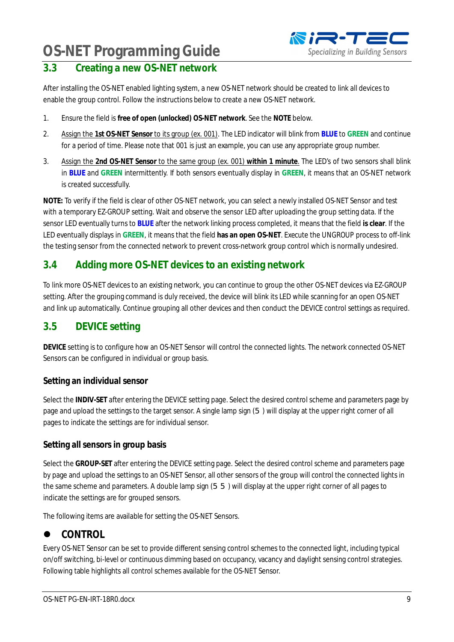#### <span id="page-8-0"></span>**3.3 Creating a new OS-NET network**

After installing the OS-NET enabled lighting system, a new OS-NET network should be created to link all devices to enable the group control. Follow the instructions below to create a new OS-NET network.

- 1. Ensure the field is **free of open (unlocked) OS-NET network**. See the **NOTE** below.
- 2. Assign the **1st OS-NET Sensor** to its group (ex. 001). The LED indicator will blink from **BLUE** to **GREEN** and continue for a period of time. Please note that 001 is just an example, you can use any appropriate group number.
- 3. Assign the **2nd OS-NET Sensor** to the same group (ex. 001) **within 1 minute**. The LED's of two sensors shall blink in **BLUE** and **GREEN** intermittently. If both sensors eventually display in **GREEN**, it means that an OS-NET network is created successfully.

**NOTE:** To verify if the field is clear of other OS-NET network, you can select a newly installed OS-NET Sensor and test with a temporary EZ-GROUP setting. Wait and observe the sensor LED after uploading the group setting data. If the sensor LED eventually turns to **BLUE** after the network linking process completed, it means that the field **is clear**. If the LED eventually displays in **GREEN**, it means that the field **has an open OS-NET**. Execute the UNGROUP process to off-link the testing sensor from the connected network to prevent cross-network group control which is normally undesired.

#### <span id="page-8-1"></span>**3.4 Adding more OS-NET devices to an existing network**

To link more OS-NET devices to an existing network, you can continue to group the other OS-NET devices via EZ-GROUP setting. After the grouping command is duly received, the device will blink its LED while scanning for an open OS-NET and link up automatically. Continue grouping all other devices and then conduct the DEVICE control settings as required.

#### <span id="page-8-2"></span>**3.5 DEVICE setting**

**DEVICE** setting is to configure how an OS-NET Sensor will control the connected lights. The network connected OS-NET Sensors can be configured in individual or group basis.

#### **Setting an individual sensor**

Select the **INDIV-SET** after entering the DEVICE setting page. Select the desired control scheme and parameters page by page and upload the settings to the target sensor. A single lamp sign (5) will display at the upper right corner of all pages to indicate the settings are for individual sensor.

#### **Setting all sensors in group basis**

Select the **GROUP-SET** after entering the DEVICE setting page. Select the desired control scheme and parameters page by page and upload the settings to an OS-NET Sensor, all other sensors of the group will control the connected lights in the same scheme and parameters. A double lamp sign (55) will display at the upper right corner of all pages to indicate the settings are for grouped sensors.

The following items are available for setting the OS-NET Sensors.

#### <span id="page-8-3"></span>l **CONTROL**

Every OS-NET Sensor can be set to provide different sensing control schemes to the connected light, including typical on/off switching, bi-level or continuous dimming based on occupancy, vacancy and daylight sensing control strategies. Following table highlights all control schemes available for the OS-NET Sensor.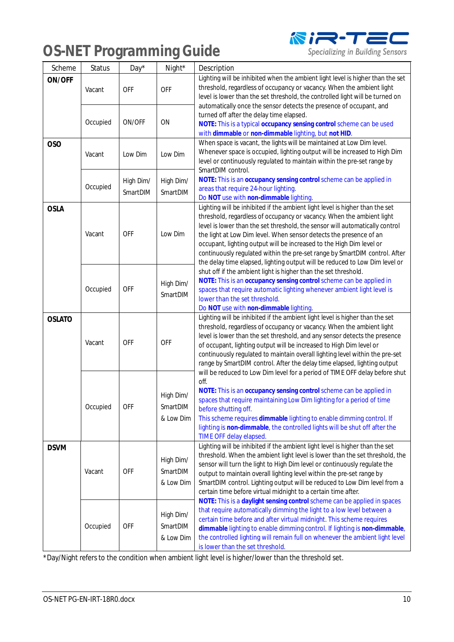

Specializing in Building Sensors

| Scheme        | <b>Status</b> | Day*                     | Night*                             | Description                                                                                                                                                                                                                                                                                                                                                                                                                                                                                                                                      |  |
|---------------|---------------|--------------------------|------------------------------------|--------------------------------------------------------------------------------------------------------------------------------------------------------------------------------------------------------------------------------------------------------------------------------------------------------------------------------------------------------------------------------------------------------------------------------------------------------------------------------------------------------------------------------------------------|--|
| ON/OFF        | Vacant        | <b>OFF</b>               | <b>OFF</b>                         | Lighting will be inhibited when the ambient light level is higher than the set<br>threshold, regardless of occupancy or vacancy. When the ambient light<br>level is lower than the set threshold, the controlled light will be turned on                                                                                                                                                                                                                                                                                                         |  |
|               | Occupied      | ON/OFF                   | ON                                 | automatically once the sensor detects the presence of occupant, and<br>turned off after the delay time elapsed.<br>NOTE: This is a typical occupancy sensing control scheme can be used<br>with dimmable or non-dimmable lighting, but not HID.                                                                                                                                                                                                                                                                                                  |  |
| OSO           | Vacant        | Low Dim                  | Low Dim                            | When space is vacant, the lights will be maintained at Low Dim level.<br>Whenever space is occupied, lighting output will be increased to High Dim<br>level or continuously regulated to maintain within the pre-set range by<br>SmartDIM control.                                                                                                                                                                                                                                                                                               |  |
|               | Occupied      | High Dim/<br>SmartDIM    | High Dim/<br>SmartDIM              | NOTE: This is an occupancy sensing control scheme can be applied in<br>areas that require 24-hour lighting.<br>Do NOT use with non-dimmable lighting.                                                                                                                                                                                                                                                                                                                                                                                            |  |
| <b>OSLA</b>   | Vacant        | <b>OFF</b>               | Low Dim                            | Lighting will be inhibited if the ambient light level is higher than the set<br>threshold, regardless of occupancy or vacancy. When the ambient light<br>level is lower than the set threshold, the sensor will automatically control<br>the light at Low Dim level. When sensor detects the presence of an<br>occupant, lighting output will be increased to the High Dim level or<br>continuously regulated within the pre-set range by SmartDIM control. After<br>the delay time elapsed, lighting output will be reduced to Low Dim level or |  |
|               | Occupied      | <b>OFF</b>               | High Dim/<br>SmartDIM              | shut off if the ambient light is higher than the set threshold.<br>NOTE: This is an occupancy sensing control scheme can be applied in<br>spaces that require automatic lighting whenever ambient light level is<br>lower than the set threshold.<br>Do NOT use with non-dimmable lighting.                                                                                                                                                                                                                                                      |  |
| <b>OSLATO</b> | Vacant        | <b>OFF</b><br><b>OFF</b> |                                    | Lighting will be inhibited if the ambient light level is higher than the set<br>threshold, regardless of occupancy or vacancy. When the ambient light<br>level is lower than the set threshold, and any sensor detects the presence<br>of occupant, lighting output will be increased to High Dim level or<br>continuously regulated to maintain overall lighting level within the pre-set<br>range by SmartDIM control. After the delay time elapsed, lighting output                                                                           |  |
|               | Occupied      | <b>OFF</b>               | High Dim/<br>SmartDIM<br>& Low Dim | will be reduced to Low Dim level for a period of TIME OFF delay before shut<br>off.<br>NOTE: This is an occupancy sensing control scheme can be applied in<br>spaces that require maintaining Low Dim lighting for a period of time<br>before shutting off.<br>This scheme requires dimmable lighting to enable dimming control. If<br>lighting is non-dimmable, the controlled lights will be shut off after the<br>TIME OFF delay elapsed.                                                                                                     |  |
| <b>DSVM</b>   | Vacant        | <b>OFF</b>               | High Dim/<br>SmartDIM<br>& Low Dim | Lighting will be inhibited if the ambient light level is higher than the set<br>threshold. When the ambient light level is lower than the set threshold, the<br>sensor will turn the light to High Dim level or continuously regulate the<br>output to maintain overall lighting level within the pre-set range by<br>SmartDIM control. Lighting output will be reduced to Low Dim level from a<br>certain time before virtual midnight to a certain time after.<br>NOTE: This is a daylight sensing control scheme can be applied in spaces     |  |
|               | Occupied      | <b>OFF</b>               | High Dim/<br>SmartDIM<br>& Low Dim | that require automatically dimming the light to a low level between a<br>certain time before and after virtual midnight. This scheme requires<br>dimmable lighting to enable dimming control. If lighting is non-dimmable,<br>the controlled lighting will remain full on whenever the ambient light level<br>is lower than the set threshold.                                                                                                                                                                                                   |  |

\*Day/Night refers to the condition when ambient light level is higher/lower than the threshold set.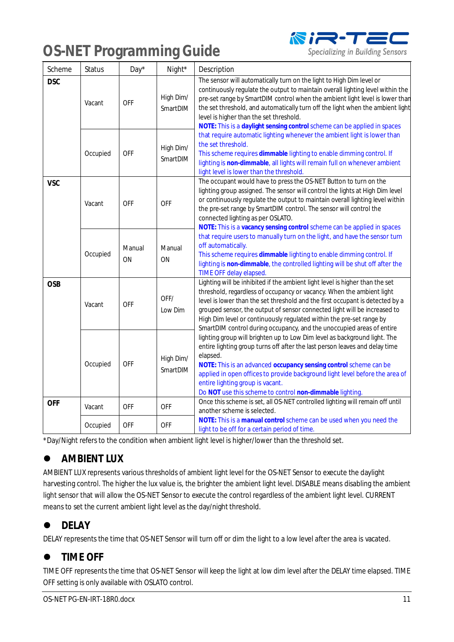

Specializing in Building Sensors

| Scheme     | <b>Status</b> | Day*         | Night*                | Description                                                                                                                                                                                                                                                                                                                                                                                                                                                          |  |
|------------|---------------|--------------|-----------------------|----------------------------------------------------------------------------------------------------------------------------------------------------------------------------------------------------------------------------------------------------------------------------------------------------------------------------------------------------------------------------------------------------------------------------------------------------------------------|--|
| <b>DSC</b> | Vacant        | <b>OFF</b>   | High Dim/<br>SmartDIM | The sensor will automatically turn on the light to High Dim level or<br>continuously regulate the output to maintain overall lighting level within the<br>pre-set range by SmartDIM control when the ambient light level is lower than<br>the set threshold, and automatically turn off the light when the ambient light<br>level is higher than the set threshold.<br>NOTE: This is a daylight sensing control scheme can be applied in spaces                      |  |
|            | Occupied      | <b>OFF</b>   | High Dim/<br>SmartDIM | that require automatic lighting whenever the ambient light is lower than<br>the set threshold.<br>This scheme requires dimmable lighting to enable dimming control. If<br>lighting is non-dimmable, all lights will remain full on whenever ambient<br>light level is lower than the threshold.                                                                                                                                                                      |  |
| <b>VSC</b> | Vacant        | <b>OFF</b>   | <b>OFF</b>            | The occupant would have to press the OS-NET Button to turn on the<br>lighting group assigned. The sensor will control the lights at High Dim level<br>or continuously regulate the output to maintain overall lighting level within<br>the pre-set range by SmartDIM control. The sensor will control the<br>connected lighting as per OSLATO.<br>NOTE: This is a vacancy sensing control scheme can be applied in spaces                                            |  |
|            | Occupied      | Manual<br>ON | Manual<br>ON          | that require users to manually turn on the light, and have the sensor turn<br>off automatically.<br>This scheme requires dimmable lighting to enable dimming control. If<br>lighting is non-dimmable, the controlled lighting will be shut off after the<br>TIME OFF delay elapsed.                                                                                                                                                                                  |  |
| <b>OSB</b> | Vacant        | <b>OFF</b>   | OFF/<br>Low Dim       | Lighting will be inhibited if the ambient light level is higher than the set<br>threshold, regardless of occupancy or vacancy. When the ambient light<br>level is lower than the set threshold and the first occupant is detected by a<br>grouped sensor, the output of sensor connected light will be increased to<br>High Dim level or continuously regulated within the pre-set range by<br>SmartDIM control during occupancy, and the unoccupied areas of entire |  |
|            | Occupied      | <b>OFF</b>   | High Dim/<br>SmartDIM | lighting group will brighten up to Low Dim level as background light. The<br>entire lighting group turns off after the last person leaves and delay time<br>elapsed.<br>NOTE: This is an advanced occupancy sensing control scheme can be<br>applied in open offices to provide background light level before the area of<br>entire lighting group is vacant.<br>Do NOT use this scheme to control non-dimmable lighting.                                            |  |
| <b>OFF</b> | Vacant        | <b>OFF</b>   | <b>OFF</b>            | Once this scheme is set, all OS-NET controlled lighting will remain off until<br>another scheme is selected.                                                                                                                                                                                                                                                                                                                                                         |  |
|            | Occupied      | <b>OFF</b>   | <b>OFF</b>            | NOTE: This is a manual control scheme can be used when you need the<br>light to be off for a certain period of time.                                                                                                                                                                                                                                                                                                                                                 |  |

\*Day/Night refers to the condition when ambient light level is higher/lower than the threshold set.

### <span id="page-10-0"></span> $\bullet$  AMBIENT LUX

AMBIENT LUX represents various thresholds of ambient light level for the OS-NET Sensor to execute the daylight harvesting control. The higher the lux value is, the brighter the ambient light level. DISABLE means disabling the ambient light sensor that will allow the OS-NET Sensor to execute the control regardless of the ambient light level. CURRENT means to set the current ambient light level as the day/night threshold.

#### <span id="page-10-1"></span>**•** DELAY

DELAY represents the time that OS-NET Sensor will turn off or dim the light to a low level after the area is vacated.

### <span id="page-10-2"></span> $\bullet$  TIME OFF

TIME OFF represents the time that OS-NET Sensor will keep the light at low dim level after the DELAY time elapsed. TIME OFF setting is only available with OSLATO control.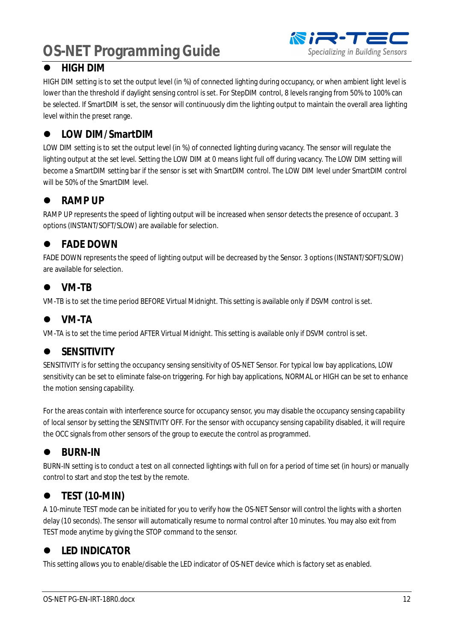

#### <span id="page-11-0"></span> $\bullet$  HIGH DIM

HIGH DIM setting is to set the output level (in %) of connected lighting during occupancy, or when ambient light level is lower than the threshold if daylight sensing control is set. For StepDIM control, 8 levels ranging from 50% to 100% can be selected. If SmartDIM is set, the sensor will continuously dim the lighting output to maintain the overall area lighting level within the preset range.

#### <span id="page-11-1"></span>l **LOW DIM/SmartDIM**

LOW DIM setting is to set the output level (in %) of connected lighting during vacancy. The sensor will regulate the lighting output at the set level. Setting the LOW DIM at 0 means light full off during vacancy. The LOW DIM setting will become a SmartDIM setting bar if the sensor is set with SmartDIM control. The LOW DIM level under SmartDIM control will be 50% of the SmartDIM level.

#### <span id="page-11-2"></span>**e** RAMP UP

RAMP UP represents the speed of lighting output will be increased when sensor detects the presence of occupant. 3 options (INSTANT/SOFT/SLOW) are available for selection.

#### <span id="page-11-3"></span>**•** FADE DOWN

FADE DOWN represents the speed of lighting output will be decreased by the Sensor. 3 options (INSTANT/SOFT/SLOW) are available for selection.

#### <span id="page-11-4"></span>l **VM-TB**

VM-TB is to set the time period BEFORE Virtual Midnight. This setting is available only if DSVM control is set.

#### <span id="page-11-5"></span> $\bullet$  VM-TA

VM-TA is to set the time period AFTER Virtual Midnight. This setting is available only if DSVM control is set.

### <span id="page-11-6"></span> $\bullet$  SENSITIVITY

SENSITIVITY is for setting the occupancy sensing sensitivity of OS-NET Sensor. For typical low bay applications, LOW sensitivity can be set to eliminate false-on triggering. For high bay applications, NORMAL or HIGH can be set to enhance the motion sensing capability.

For the areas contain with interference source for occupancy sensor, you may disable the occupancy sensing capability of local sensor by setting the SENSITIVITY OFF. For the sensor with occupancy sensing capability disabled, it will require the OCC signals from other sensors of the group to execute the control as programmed.

### <span id="page-11-7"></span> $\bullet$  BURN-IN

BURN-IN setting is to conduct a test on all connected lightings with full on for a period of time set (in hours) or manually control to start and stop the test by the remote.

#### <span id="page-11-8"></span>**•** TEST (10-MIN)

A 10-minute TEST mode can be initiated for you to verify how the OS-NET Sensor will control the lights with a shorten delay (10 seconds). The sensor will automatically resume to normal control after 10 minutes. You may also exit from TEST mode anytime by giving the STOP command to the sensor.

### <span id="page-11-9"></span> $\bullet$  LED INDICATOR

This setting allows you to enable/disable the LED indicator of OS-NET device which is factory set as enabled.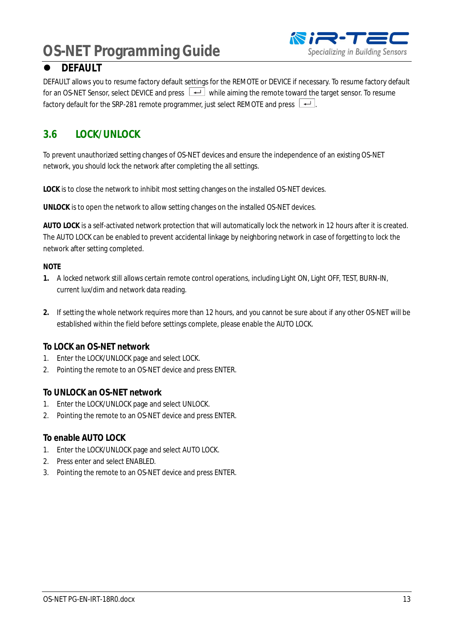

#### <span id="page-12-0"></span>**O** DEFAULT

DEFAULT allows you to resume factory default settings for the REMOTE or DEVICE if necessary. To resume factory default for an OS-NET Sensor, select DEVICE and press  $\Box$  while aiming the remote toward the target sensor. To resume factory default for the SRP-281 remote programmer, just select REMOTE and press  $\boxed{+}$ .

#### <span id="page-12-1"></span>**3.6 LOCK/UNLOCK**

To prevent unauthorized setting changes of OS-NET devices and ensure the independence of an existing OS-NET network, you should lock the network after completing the all settings.

**LOCK** is to close the network to inhibit most setting changes on the installed OS-NET devices.

**UNLOCK** is to open the network to allow setting changes on the installed OS-NET devices.

**AUTO LOCK** is a self-activated network protection that will automatically lock the network in 12 hours after it is created. The AUTO LOCK can be enabled to prevent accidental linkage by neighboring network in case of forgetting to lock the network after setting completed.

#### **NOTE**

- **1.** A locked network still allows certain remote control operations, including Light ON, Light OFF, TEST, BURN-IN, current lux/dim and network data reading.
- **2.** If setting the whole network requires more than 12 hours, and you cannot be sure about if any other OS-NET will be established within the field before settings complete, please enable the AUTO LOCK.

#### **To LOCK an OS-NET network**

- 1. Enter the LOCK/UNLOCK page and select LOCK.
- 2. Pointing the remote to an OS-NET device and press ENTER.

#### **To UNLOCK an OS-NET network**

- 1. Enter the LOCK/UNLOCK page and select UNLOCK.
- 2. Pointing the remote to an OS-NET device and press ENTER.

#### **To enable AUTO LOCK**

- 1. Enter the LOCK/UNLOCK page and select AUTO LOCK.
- 2. Press enter and select ENABLED.
- 3. Pointing the remote to an OS-NET device and press ENTER.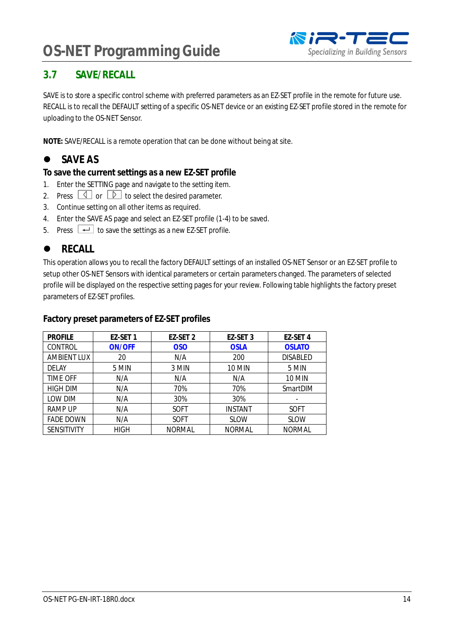

#### <span id="page-13-0"></span>**3.7 SAVE/RECALL**

SAVE is to store a specific control scheme with preferred parameters as an EZ-SET profile in the remote for future use. RECALL is to recall the DEFAULT setting of a specific OS-NET device or an existing EZ-SET profile stored in the remote for uploading to the OS-NET Sensor.

**NOTE:** SAVE/RECALL is a remote operation that can be done without being at site.

### <span id="page-13-1"></span>**e** SAVE AS

**To save the current settings as a new EZ-SET profile**

- 1. Enter the SETTING page and navigate to the setting item.
- 2. Press  $\Box$  or  $\Box$  to select the desired parameter.
- 3. Continue setting on all other items as required.
- 4. Enter the SAVE AS page and select an EZ-SET profile (1-4) to be saved.
- 5. Press  $\overline{\leftarrow}$  to save the settings as a new EZ-SET profile.

#### <span id="page-13-2"></span>**e** RECALL

This operation allows you to recall the factory DEFAULT settings of an installed OS-NET Sensor or an EZ-SET profile to setup other OS-NET Sensors with identical parameters or certain parameters changed. The parameters of selected profile will be displayed on the respective setting pages for your review. Following table highlights the factory preset parameters of EZ-SET profiles.

#### **Factory preset parameters of EZ-SET profiles**

| <b>PROFILE</b>     | EZ-SET 1      | EZ-SET 2      | EZ-SET 3       | EZ-SET 4        |
|--------------------|---------------|---------------|----------------|-----------------|
| <b>CONTROL</b>     | <b>ON/OFF</b> | <b>OSO</b>    | <b>OSLA</b>    | <b>OSLATO</b>   |
| AMBIENT LUX        | 20            | N/A           | 200            | <b>DISABLED</b> |
| DELAY              | 5 MIN         | 3 MIN         | <b>10 MIN</b>  | 5 MIN           |
| TIME OFF           | N/A           | N/A           | N/A            | <b>10 MIN</b>   |
| <b>HIGH DIM</b>    | N/A           | 70%           | 70%            | SmartDIM        |
| LOW DIM            | N/A           | 30%           | 30%            |                 |
| <b>RAMP UP</b>     | N/A           | <b>SOFT</b>   | <b>INSTANT</b> | <b>SOFT</b>     |
| <b>FADE DOWN</b>   | N/A           | <b>SOFT</b>   | <b>SLOW</b>    | <b>SLOW</b>     |
| <b>SENSITIVITY</b> | <b>HIGH</b>   | <b>NORMAL</b> | <b>NORMAL</b>  | <b>NORMAL</b>   |